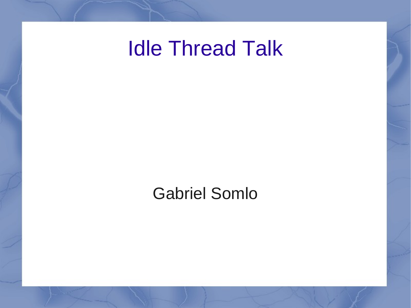# Idle Thread Talk

#### Gabriel Somlo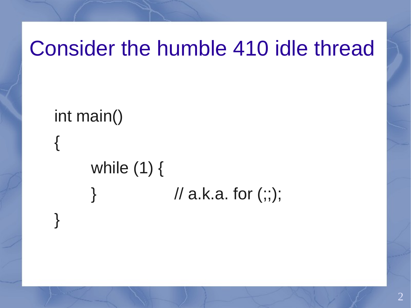## Consider the humble 410 idle thread

int main() { while (1) {  $\#$  a.k.a. for  $(:;);$ 

}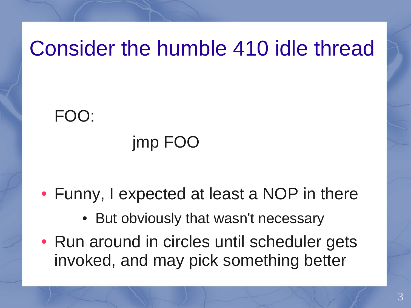# Consider the humble 410 idle thread

#### FOO:

#### jmp FOO

#### • Funny, I expected at least a NOP in there

- But obviously that wasn't necessary
- Run around in circles until scheduler gets invoked, and may pick something better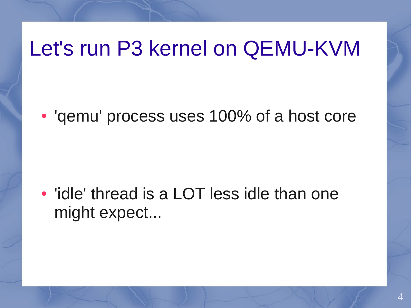## Let's run P3 kernel on QEMU-KVM

• 'gemu' process uses 100% of a host core

• 'idle' thread is a LOT less idle than one might expect...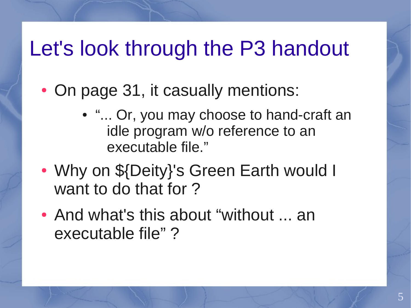# Let's look through the P3 handout

- On page 31, it casually mentions:
	- "... Or, you may choose to hand-craft an idle program w/o reference to an executable file."
- Why on \${Deity}'s Green Earth would I want to do that for ?
- And what's this about "without ... an executable file" ?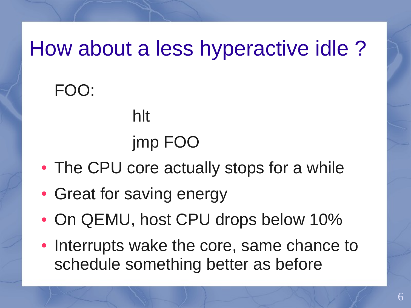# How about a less hyperactive idle ?

FOO:

# jmp FOO

- The CPU core actually stops for a while
- Great for saving energy

hlt

- On QEMU, host CPU drops below 10%
- Interrupts wake the core, same chance to schedule something better as before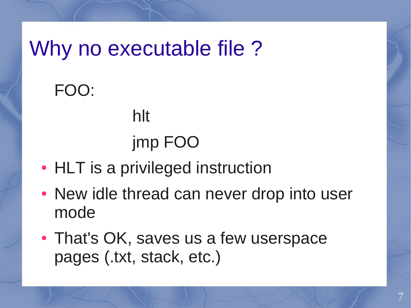Why no executable file?

hlt

FOO:

# jmp FOO

- HLT is a privileged instruction
- New idle thread can never drop into user mode
- That's OK, saves us a few userspace pages (.txt, stack, etc.)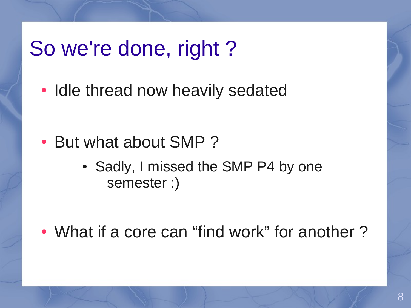#### So we're done, right ?

• Idle thread now heavily sedated

- But what about SMP?
	- Sadly, I missed the SMP P4 by one semester :)

• What if a core can "find work" for another?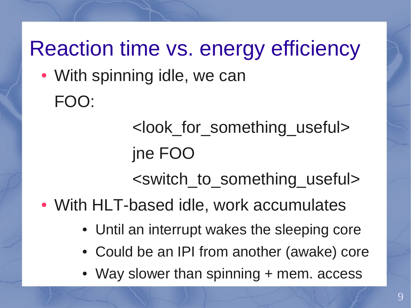# Reaction time vs. energy efficiency

• With spinning idle, we can FOO:

> <look\_for\_something\_useful> jne FOO

<switch\_to\_something\_useful>

• With HLT-based idle, work accumulates

- Until an interrupt wakes the sleeping core
- Could be an IPI from another (awake) core
- Way slower than spinning + mem. access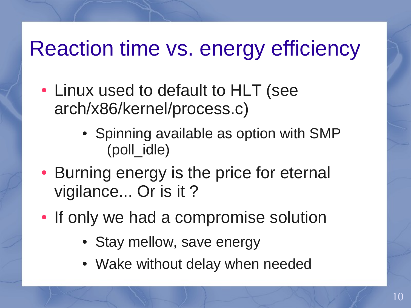# Reaction time vs. energy efficiency

- Linux used to default to HLT (see arch/x86/kernel/process.c)
	- Spinning available as option with SMP (poll\_idle)
- Burning energy is the price for eternal vigilance... Or is it ?
- If only we had a compromise solution
	- Stay mellow, save energy
	- Wake without delay when needed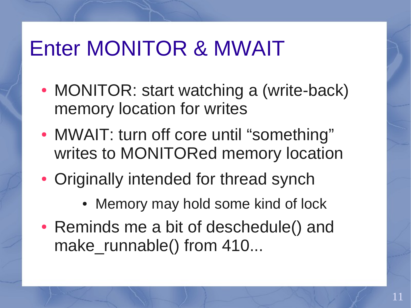## Enter MONITOR & MWAIT

- MONITOR: start watching a (write-back) memory location for writes
- MWAIT: turn off core until "something" writes to MONITORed memory location
- Originally intended for thread synch
	- Memory may hold some kind of lock
- Reminds me a bit of deschedule() and make\_runnable() from 410...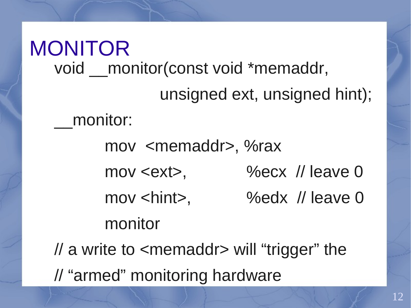MONITOR void monitor(const void \*memaddr, unsigned ext, unsigned hint); \_\_monitor: mov <memaddr>, %rax mov <ext>, %ecx // leave 0 mov <hint>, %edx // leave 0 monitor // a write to <memaddr> will "trigger" the // "armed" monitoring hardware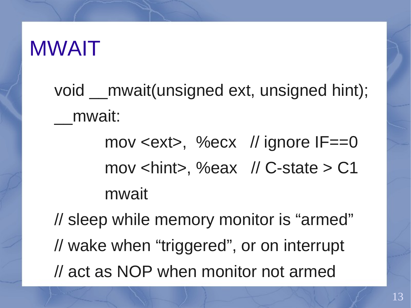#### MWAIT

- void mwait(unsigned ext, unsigned hint); \_\_mwait:
	- mov <ext>, %ecx // ignore IF==0 mov <hint>, %eax // C-state > C1 mwait

// sleep while memory monitor is "armed" // wake when "triggered", or on interrupt // act as NOP when monitor not armed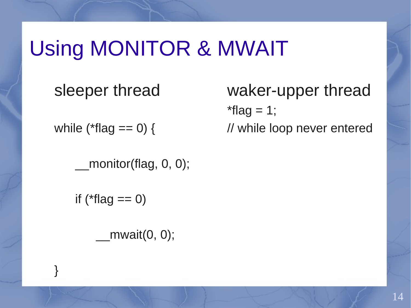sleeper thread

while ( $*flag == 0$ ) {

monitor(flag, 0, 0);

if ( $*flag == 0$ )

}

 $mwait(0, 0);$ 

waker-upper thread  $*flag = 1;$ // while loop never entered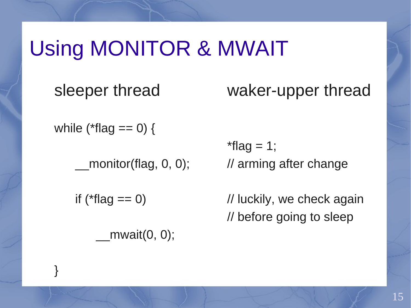sleeper thread

waker-upper thread

while ( $*flag == 0$ ) {

monitor(flag, 0, 0);

if ( $*flag == 0$ )

}

 $mwait(0, 0);$ 

 $*flag = 1;$ // arming after change

// luckily, we check again // before going to sleep

15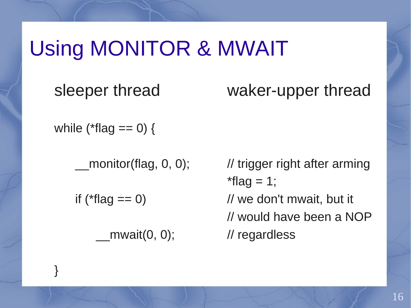sleeper thread

waker-upper thread

while ( $*flag == 0$ ) {

monitor(flag, 0, 0);

if ( $*flag == 0$ )

}

 $mwait(0, 0);$ 

// trigger right after arming  $*flag = 1;$ // we don't mwait, but it // would have been a NOP // regardless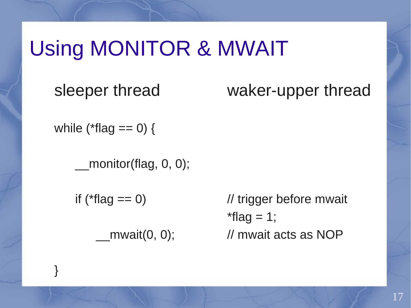sleeper thread

waker-upper thread

while ( $*flag == 0$ ) {

monitor(flag, 0, 0);

if ( $*flag == 0$ )

}

 $mwait(0, 0);$ 

// trigger before mwait  $*flag = 1;$ // mwait acts as NOP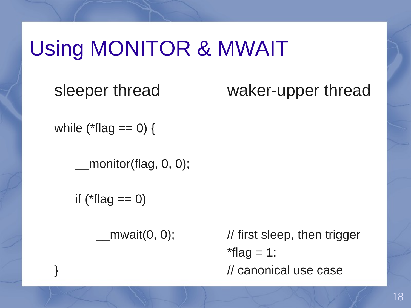sleeper thread

waker-upper thread

while ( $*flag == 0$ ) {

monitor(flag, 0, 0);

if ( $*flag == 0$ )

}

 $mwait(0, 0);$ 

// first sleep, then trigger  $*flag = 1;$ // canonical use case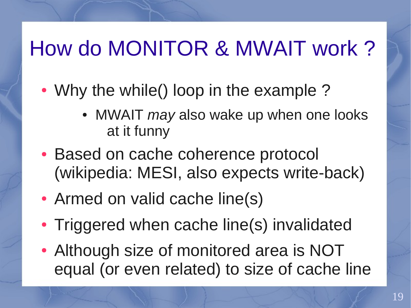# How do MONITOR & MWAIT work ?

- Why the while() loop in the example ?
	- MWAIT *may* also wake up when one looks at it funny
- Based on cache coherence protocol (wikipedia: MESI, also expects write-back)
- Armed on valid cache line(s)
- Triggered when cache line(s) invalidated
- Although size of monitored area is NOT equal (or even related) to size of cache line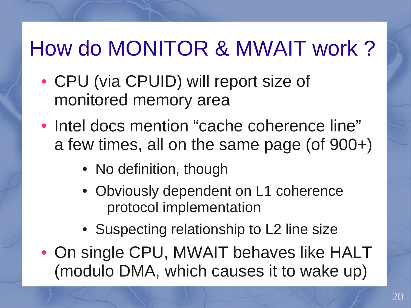# How do MONITOR & MWAIT work ?

- CPU (via CPUID) will report size of monitored memory area
- Intel docs mention "cache coherence line" a few times, all on the same page (of 900+)
	- No definition, though
	- Obviously dependent on L1 coherence protocol implementation
	- Suspecting relationship to L2 line size
- On single CPU, MWAIT behaves like HALT (modulo DMA, which causes it to wake up)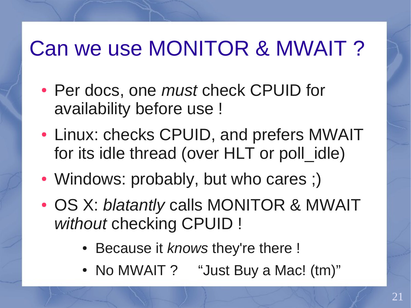# Can we use MONITOR & MWAIT ?

- Per docs, one *must* check CPUID for availability before use !
- Linux: checks CPUID, and prefers MWAIT for its idle thread (over HLT or poll idle)
- Windows: probably, but who cares ;)
- OS X: *blatantly* calls MONITOR & MWAIT *without* checking CPUID !
	- Because it *knows* they're there !
	- No MWAIT ? "Just Buy a Mac! (tm)"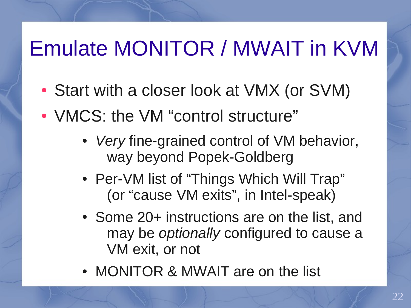# Emulate MONITOR / MWAIT in KVM

- Start with a closer look at VMX (or SVM)
- VMCS: the VM "control structure"
	- *Very* fine-grained control of VM behavior, way beyond Popek-Goldberg
	- Per-VM list of "Things Which Will Trap" (or "cause VM exits", in Intel-speak)
	- Some 20+ instructions are on the list, and may be *optionally* configured to cause a VM exit, or not
	- MONITOR & MWAIT are on the list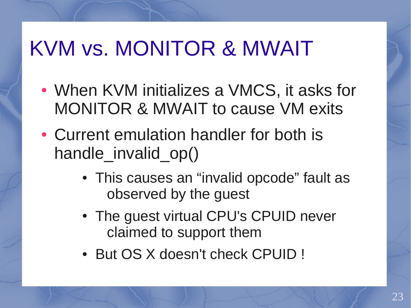- When KVM initializes a VMCS, it asks for MONITOR & MWAIT to cause VM exits
- Current emulation handler for both is handle invalid op()
	- This causes an "invalid opcode" fault as observed by the guest
	- The guest virtual CPU's CPUID never claimed to support them
	- But OS X doesn't check CPUID !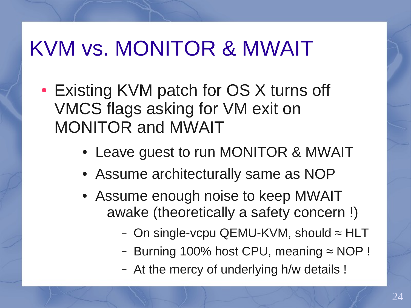- Existing KVM patch for OS X turns off VMCS flags asking for VM exit on MONITOR and MWAIT
	- Leave guest to run MONITOR & MWAIT
	- Assume architecturally same as NOP
	- Assume enough noise to keep MWAIT awake (theoretically a safety concern !)
		- On single-vcpu QEMU-KVM, should  $\approx$  HLT
		- Burning 100% host CPU, meaning ≈ NOP !
		- At the mercy of underlying h/w details !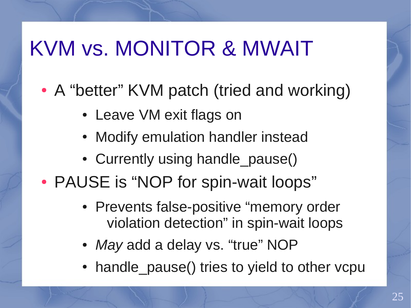- A "better" KVM patch (tried and working)
	- Leave VM exit flags on
	- Modify emulation handler instead
	- Currently using handle pause()
- PAUSE is "NOP for spin-wait loops"
	- Prevents false-positive "memory order violation detection" in spin-wait loops
	- May add a delay vs. "true" NOP
	- handle pause() tries to yield to other vcpu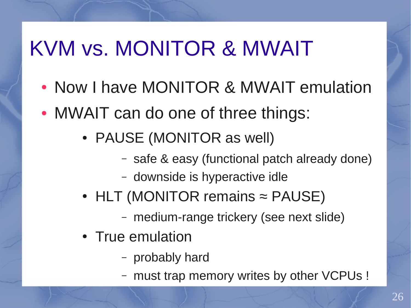- Now I have MONITOR & MWAIT emulation
- MWAIT can do one of three things:
	- PAUSE (MONITOR as well)
		- safe & easy (functional patch already done)
		- downside is hyperactive idle
	- HLT (MONITOR remains  $\approx$  PAUSE)
		- medium-range trickery (see next slide)
	- True emulation
		- probably hard
		- must trap memory writes by other VCPUs !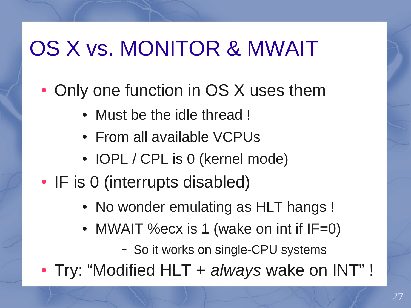# OS X vs. MONITOR & MWAIT

- Only one function in OS X uses them
	- Must be the idle thread !
	- From all available VCPUs
	- IOPL / CPL is 0 (kernel mode)
- IF is 0 (interrupts disabled)
	- No wonder emulating as HLT hangs !
	- MWAIT % ecx is  $1$  (wake on int if IF=0)
		- So it works on single-CPU systems
- Try: "Modified HLT + *always* wake on INT" !